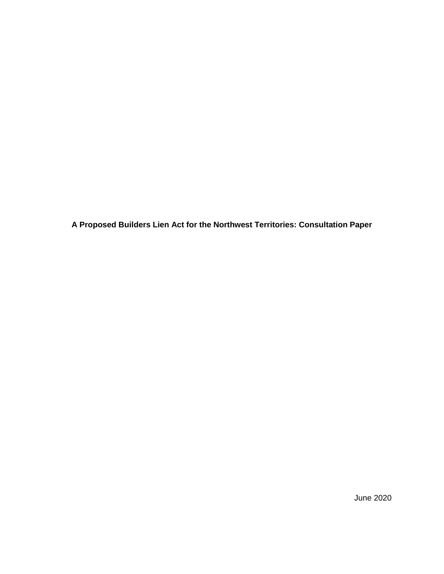**A Proposed Builders Lien Act for the Northwest Territories: Consultation Paper**

June 2020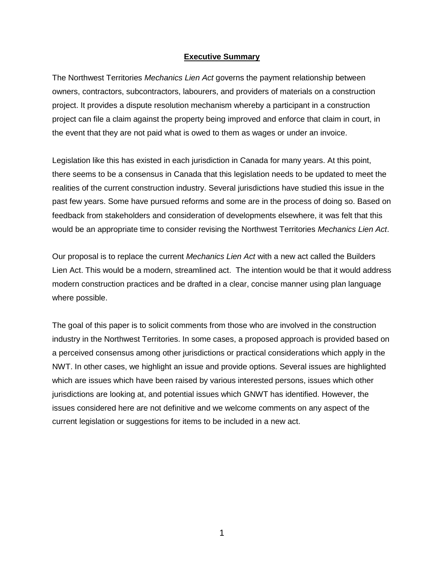#### **Executive Summary**

The Northwest Territories *Mechanics Lien Act* governs the payment relationship between owners, contractors, subcontractors, labourers, and providers of materials on a construction project. It provides a dispute resolution mechanism whereby a participant in a construction project can file a claim against the property being improved and enforce that claim in court, in the event that they are not paid what is owed to them as wages or under an invoice.

Legislation like this has existed in each jurisdiction in Canada for many years. At this point, there seems to be a consensus in Canada that this legislation needs to be updated to meet the realities of the current construction industry. Several jurisdictions have studied this issue in the past few years. Some have pursued reforms and some are in the process of doing so. Based on feedback from stakeholders and consideration of developments elsewhere, it was felt that this would be an appropriate time to consider revising the Northwest Territories *Mechanics Lien Act*.

Our proposal is to replace the current *Mechanics Lien Act* with a new act called the Builders Lien Act. This would be a modern, streamlined act. The intention would be that it would address modern construction practices and be drafted in a clear, concise manner using plan language where possible.

The goal of this paper is to solicit comments from those who are involved in the construction industry in the Northwest Territories. In some cases, a proposed approach is provided based on a perceived consensus among other jurisdictions or practical considerations which apply in the NWT. In other cases, we highlight an issue and provide options. Several issues are highlighted which are issues which have been raised by various interested persons, issues which other jurisdictions are looking at, and potential issues which GNWT has identified. However, the issues considered here are not definitive and we welcome comments on any aspect of the current legislation or suggestions for items to be included in a new act.

1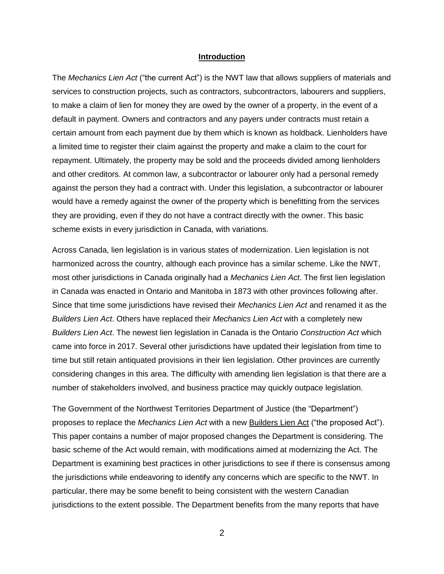#### **Introduction**

The *Mechanics Lien Act* ("the current Act") is the NWT law that allows suppliers of materials and services to construction projects, such as contractors, subcontractors, labourers and suppliers, to make a claim of lien for money they are owed by the owner of a property, in the event of a default in payment. Owners and contractors and any payers under contracts must retain a certain amount from each payment due by them which is known as holdback. Lienholders have a limited time to register their claim against the property and make a claim to the court for repayment. Ultimately, the property may be sold and the proceeds divided among lienholders and other creditors. At common law, a subcontractor or labourer only had a personal remedy against the person they had a contract with. Under this legislation, a subcontractor or labourer would have a remedy against the owner of the property which is benefitting from the services they are providing, even if they do not have a contract directly with the owner. This basic scheme exists in every jurisdiction in Canada, with variations.

Across Canada, lien legislation is in various states of modernization. Lien legislation is not harmonized across the country, although each province has a similar scheme. Like the NWT, most other jurisdictions in Canada originally had a *Mechanics Lien Act*. The first lien legislation in Canada was enacted in Ontario and Manitoba in 1873 with other provinces following after. Since that time some jurisdictions have revised their *Mechanics Lien Act* and renamed it as the *Builders Lien Act*. Others have replaced their *Mechanics Lien Act* with a completely new *Builders Lien Act*. The newest lien legislation in Canada is the Ontario *Construction Act* which came into force in 2017. Several other jurisdictions have updated their legislation from time to time but still retain antiquated provisions in their lien legislation. Other provinces are currently considering changes in this area. The difficulty with amending lien legislation is that there are a number of stakeholders involved, and business practice may quickly outpace legislation.

The Government of the Northwest Territories Department of Justice (the "Department") proposes to replace the *Mechanics Lien Act* with a new Builders Lien Act ("the proposed Act"). This paper contains a number of major proposed changes the Department is considering. The basic scheme of the Act would remain, with modifications aimed at modernizing the Act. The Department is examining best practices in other jurisdictions to see if there is consensus among the jurisdictions while endeavoring to identify any concerns which are specific to the NWT. In particular, there may be some benefit to being consistent with the western Canadian jurisdictions to the extent possible. The Department benefits from the many reports that have

2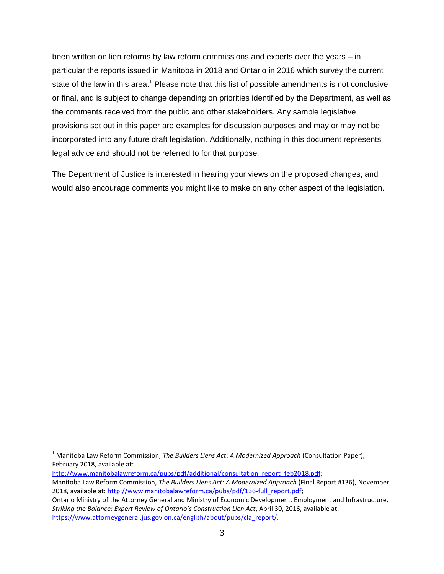been written on lien reforms by law reform commissions and experts over the years – in particular the reports issued in Manitoba in 2018 and Ontario in 2016 which survey the current state of the law in this area.<sup>1</sup> Please note that this list of possible amendments is not conclusive or final, and is subject to change depending on priorities identified by the Department, as well as the comments received from the public and other stakeholders. Any sample legislative provisions set out in this paper are examples for discussion purposes and may or may not be incorporated into any future draft legislation. Additionally, nothing in this document represents legal advice and should not be referred to for that purpose.

The Department of Justice is interested in hearing your views on the proposed changes, and would also encourage comments you might like to make on any other aspect of the legislation.

[http://www.manitobalawreform.ca/pubs/pdf/additional/consultation\\_report\\_feb2018.pdf;](http://www.manitobalawreform.ca/pubs/pdf/additional/consultation_report_feb2018.pdf)

Manitoba Law Reform Commission, *The Builders Liens Act*: *A Modernized Approach* (Final Report #136), November 2018, available at[: http://www.manitobalawreform.ca/pubs/pdf/136-full\\_report.pdf;](http://www.manitobalawreform.ca/pubs/pdf/136-full_report.pdf)

 $\overline{\phantom{a}}$ <sup>1</sup> Manitoba Law Reform Commission, *The Builders Liens Act*: *A Modernized Approach* (Consultation Paper), February 2018, available at:

Ontario Ministry of the Attorney General and Ministry of Economic Development, Employment and Infrastructure, *Striking the Balance: Expert Review of Ontario's Construction Lien Act*, April 30, 2016, available at: [https://www.attorneygeneral.jus.gov.on.ca/english/about/pubs/cla\\_report/.](https://www.attorneygeneral.jus.gov.on.ca/english/about/pubs/cla_report/)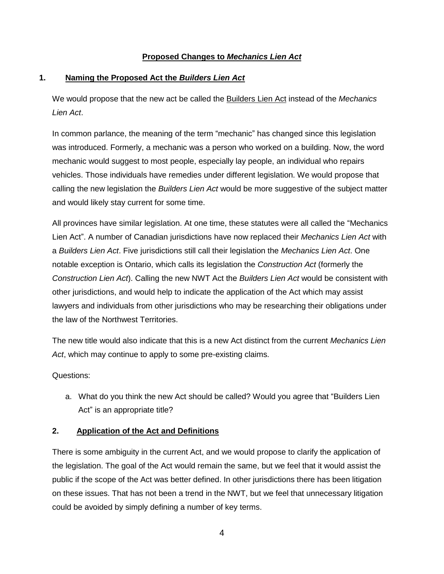# **Proposed Changes to** *Mechanics Lien Act*

### **1. Naming the Proposed Act the** *Builders Lien Act*

We would propose that the new act be called the Builders Lien Act instead of the *Mechanics Lien Act*.

In common parlance, the meaning of the term "mechanic" has changed since this legislation was introduced. Formerly, a mechanic was a person who worked on a building. Now, the word mechanic would suggest to most people, especially lay people, an individual who repairs vehicles. Those individuals have remedies under different legislation. We would propose that calling the new legislation the *Builders Lien Act* would be more suggestive of the subject matter and would likely stay current for some time.

All provinces have similar legislation. At one time, these statutes were all called the "Mechanics Lien Act". A number of Canadian jurisdictions have now replaced their *Mechanics Lien Act* with a *Builders Lien Act*. Five jurisdictions still call their legislation the *Mechanics Lien Act*. One notable exception is Ontario, which calls its legislation the *Construction Act* (formerly the *Construction Lien Act*). Calling the new NWT Act the *Builders Lien Act* would be consistent with other jurisdictions, and would help to indicate the application of the Act which may assist lawyers and individuals from other jurisdictions who may be researching their obligations under the law of the Northwest Territories.

The new title would also indicate that this is a new Act distinct from the current *Mechanics Lien Act*, which may continue to apply to some pre-existing claims.

Questions:

a. What do you think the new Act should be called? Would you agree that "Builders Lien Act" is an appropriate title?

### **2. Application of the Act and Definitions**

There is some ambiguity in the current Act, and we would propose to clarify the application of the legislation. The goal of the Act would remain the same, but we feel that it would assist the public if the scope of the Act was better defined. In other jurisdictions there has been litigation on these issues. That has not been a trend in the NWT, but we feel that unnecessary litigation could be avoided by simply defining a number of key terms.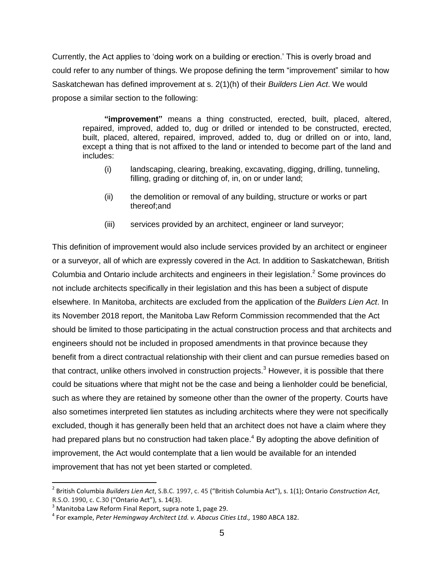Currently, the Act applies to 'doing work on a building or erection.' This is overly broad and could refer to any number of things. We propose defining the term "improvement" similar to how Saskatchewan has defined improvement at s. 2(1)(h) of their *Builders Lien Act*. We would propose a similar section to the following:

**"improvement"** means a thing constructed, erected, built, placed, altered, repaired, improved, added to, dug or drilled or intended to be constructed, erected, built, placed, altered, repaired, improved, added to, dug or drilled on or into, land, except a thing that is not affixed to the land or intended to become part of the land and includes:

- (i) landscaping, clearing, breaking, excavating, digging, drilling, tunneling, filling, grading or ditching of, in, on or under land;
- (ii) the demolition or removal of any building, structure or works or part thereof;and
- (iii) services provided by an architect, engineer or land surveyor;

This definition of improvement would also include services provided by an architect or engineer or a surveyor, all of which are expressly covered in the Act. In addition to Saskatchewan, British Columbia and Ontario include architects and engineers in their legislation. <sup>2</sup> Some provinces do not include architects specifically in their legislation and this has been a subject of dispute elsewhere. In Manitoba, architects are excluded from the application of the *Builders Lien Act*. In its November 2018 report, the Manitoba Law Reform Commission recommended that the Act should be limited to those participating in the actual construction process and that architects and engineers should not be included in proposed amendments in that province because they benefit from a direct contractual relationship with their client and can pursue remedies based on that contract, unlike others involved in construction projects.<sup>3</sup> However, it is possible that there could be situations where that might not be the case and being a lienholder could be beneficial, such as where they are retained by someone other than the owner of the property. Courts have also sometimes interpreted lien statutes as including architects where they were not specifically excluded, though it has generally been held that an architect does not have a claim where they had prepared plans but no construction had taken place.<sup>4</sup> By adopting the above definition of improvement, the Act would contemplate that a lien would be available for an intended improvement that has not yet been started or completed.

 $\overline{a}$ 

<sup>2</sup> British Columbia *Builders Lien Act*, S.B.C. 1997, c. 45 ("British Columbia Act"), s. 1(1); Ontario *Construction Act*, R.S.O. 1990, c. C.30 ("Ontario Act"), s. 14(3).

 $3$  Manitoba Law Reform Final Report, supra note 1, page 29.

<sup>4</sup> For example, *Peter Hemingway Architect Ltd. v. Abacus Cities Ltd.,* 1980 ABCA 182.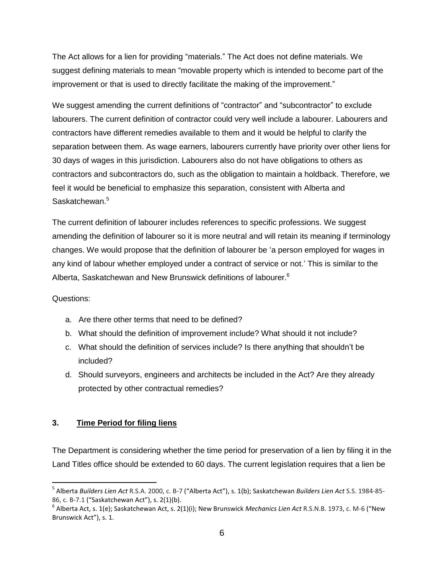The Act allows for a lien for providing "materials." The Act does not define materials. We suggest defining materials to mean "movable property which is intended to become part of the improvement or that is used to directly facilitate the making of the improvement."

We suggest amending the current definitions of "contractor" and "subcontractor" to exclude labourers. The current definition of contractor could very well include a labourer. Labourers and contractors have different remedies available to them and it would be helpful to clarify the separation between them. As wage earners, labourers currently have priority over other liens for 30 days of wages in this jurisdiction. Labourers also do not have obligations to others as contractors and subcontractors do, such as the obligation to maintain a holdback. Therefore, we feel it would be beneficial to emphasize this separation, consistent with Alberta and Saskatchewan.<sup>5</sup>

The current definition of labourer includes references to specific professions. We suggest amending the definition of labourer so it is more neutral and will retain its meaning if terminology changes. We would propose that the definition of labourer be 'a person employed for wages in any kind of labour whether employed under a contract of service or not.' This is similar to the Alberta, Saskatchewan and New Brunswick definitions of labourer.<sup>6</sup>

# Questions:

 $\overline{a}$ 

- a. Are there other terms that need to be defined?
- b. What should the definition of improvement include? What should it not include?
- c. What should the definition of services include? Is there anything that shouldn't be included?
- d. Should surveyors, engineers and architects be included in the Act? Are they already protected by other contractual remedies?

# **3. Time Period for filing liens**

The Department is considering whether the time period for preservation of a lien by filing it in the Land Titles office should be extended to 60 days. The current legislation requires that a lien be

<sup>5</sup> Alberta *Builders Lien Act* R.S.A. 2000, c. B-7 ("Alberta Act"), s. 1(b); Saskatchewan *Builders Lien Act* S.S. 1984-85- 86, c. B-7.1 ("Saskatchewan Act"), s. 2(1)(b).

<sup>6</sup> Alberta Act, s. 1(e); Saskatchewan Act, s. 2(1)(i); New Brunswick *Mechanics Lien Act* R.S.N.B. 1973, c. M-6 ("New Brunswick Act"), s. 1.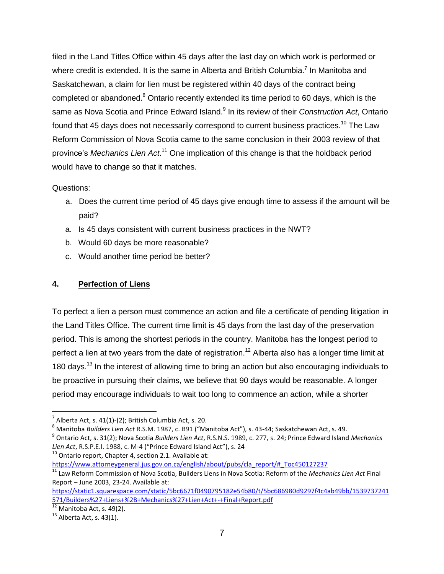filed in the Land Titles Office within 45 days after the last day on which work is performed or where credit is extended. It is the same in Alberta and British Columbia.<sup>7</sup> In Manitoba and Saskatchewan, a claim for lien must be registered within 40 days of the contract being completed or abandoned.<sup>8</sup> Ontario recently extended its time period to 60 days, which is the same as Nova Scotia and Prince Edward Island.<sup>9</sup> In its review of their *Construction Act*, Ontario found that 45 days does not necessarily correspond to current business practices.<sup>10</sup> The Law Reform Commission of Nova Scotia came to the same conclusion in their 2003 review of that province's *Mechanics Lien Act*. <sup>11</sup> One implication of this change is that the holdback period would have to change so that it matches.

### Questions:

- a. Does the current time period of 45 days give enough time to assess if the amount will be paid?
- a. Is 45 days consistent with current business practices in the NWT?
- b. Would 60 days be more reasonable?
- c. Would another time period be better?

### **4. Perfection of Liens**

To perfect a lien a person must commence an action and file a certificate of pending litigation in the Land Titles Office. The current time limit is 45 days from the last day of the preservation period. This is among the shortest periods in the country. Manitoba has the longest period to perfect a lien at two years from the date of registration.<sup>12</sup> Alberta also has a longer time limit at 180 days.<sup>13</sup> In the interest of allowing time to bring an action but also encouraging individuals to be proactive in pursuing their claims, we believe that 90 days would be reasonable. A longer period may encourage individuals to wait too long to commence an action, while a shorter

 $10$  Ontario report, Chapter 4, section 2.1. Available at: [https://www.attorneygeneral.jus.gov.on.ca/english/about/pubs/cla\\_report/#\\_Toc450127237](https://www.attorneygeneral.jus.gov.on.ca/english/about/pubs/cla_report/#_Toc450127237)

<sup>11</sup> Law Reform Commission of Nova Scotia, Builders Liens in Nova Scotia: Reform of the *Mechanics Lien Act* Final Report – June 2003, 23-24. Available at:

 $\overline{\phantom{a}}$ 

 $^7$  Alberta Act, s. 41(1)-(2); British Columbia Act, s. 20.

<sup>8</sup> Manitoba *Builders Lien Act* R.S.M. 1987, c. B91 ("Manitoba Act"), s. 43-44; Saskatchewan Act, s. 49.

<sup>9</sup> Ontario Act, s. 31(2); Nova Scotia *Builders Lien Act*, R.S.N.S. 1989, c. 277, s. 24; Prince Edward Island *Mechanics Lien Act*, R.S.P.E.I. 1988, c. M-4 ("Prince Edward Island Act"), s. 24

[https://static1.squarespace.com/static/5bc6671f0490795182e54b80/t/5bc686980d9297f4c4ab49bb/1539737241](https://static1.squarespace.com/static/5bc6671f0490795182e54b80/t/5bc686980d9297f4c4ab49bb/1539737241571/Builders%27+Liens+%2B+Mechanics%27+Lien+Act+-+Final+Report.pdf) [571/Builders%27+Liens+%2B+Mechanics%27+Lien+Act+-+Final+Report.pdf](https://static1.squarespace.com/static/5bc6671f0490795182e54b80/t/5bc686980d9297f4c4ab49bb/1539737241571/Builders%27+Liens+%2B+Mechanics%27+Lien+Act+-+Final+Report.pdf)

 $\frac{12}{12}$  Manitoba Act, s. 49(2).

 $13$  Alberta Act, s. 43(1).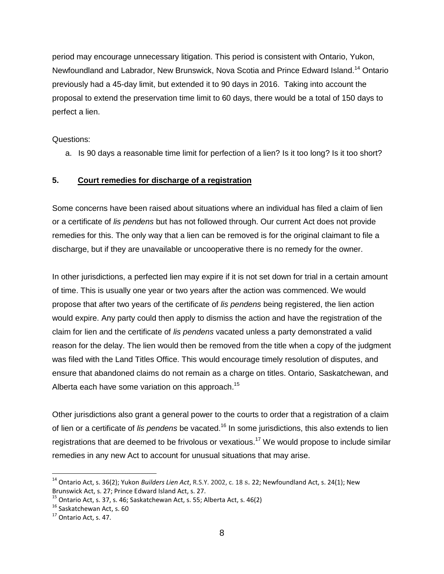period may encourage unnecessary litigation. This period is consistent with Ontario, Yukon, Newfoundland and Labrador, New Brunswick, Nova Scotia and Prince Edward Island.<sup>14</sup> Ontario previously had a 45-day limit, but extended it to 90 days in 2016. Taking into account the proposal to extend the preservation time limit to 60 days, there would be a total of 150 days to perfect a lien.

Questions:

a. Is 90 days a reasonable time limit for perfection of a lien? Is it too long? Is it too short?

### **5. Court remedies for discharge of a registration**

Some concerns have been raised about situations where an individual has filed a claim of lien or a certificate of *lis pendens* but has not followed through. Our current Act does not provide remedies for this. The only way that a lien can be removed is for the original claimant to file a discharge, but if they are unavailable or uncooperative there is no remedy for the owner.

In other jurisdictions, a perfected lien may expire if it is not set down for trial in a certain amount of time. This is usually one year or two years after the action was commenced. We would propose that after two years of the certificate of *lis pendens* being registered, the lien action would expire. Any party could then apply to dismiss the action and have the registration of the claim for lien and the certificate of *lis pendens* vacated unless a party demonstrated a valid reason for the delay. The lien would then be removed from the title when a copy of the judgment was filed with the Land Titles Office. This would encourage timely resolution of disputes, and ensure that abandoned claims do not remain as a charge on titles. Ontario, Saskatchewan, and Alberta each have some variation on this approach.<sup>15</sup>

Other jurisdictions also grant a general power to the courts to order that a registration of a claim of lien or a certificate of *lis pendens* be vacated.<sup>16</sup> In some jurisdictions, this also extends to lien registrations that are deemed to be frivolous or vexatious.<sup>17</sup> We would propose to include similar remedies in any new Act to account for unusual situations that may arise.

<sup>14</sup> Ontario Act, s. 36(2); Yukon *Builders Lien Act*, R.S.Y. 2002, c. 18 s. 22; Newfoundland Act, s. 24(1); New Brunswick Act, s. 27; Prince Edward Island Act, s. 27.

 $^{15}$  Ontario Act, s. 37, s. 46; Saskatchewan Act, s. 55; Alberta Act, s. 46(2)

<sup>&</sup>lt;sup>16</sup> Saskatchewan Act, s. 60

<sup>&</sup>lt;sup>17</sup> Ontario Act, s. 47.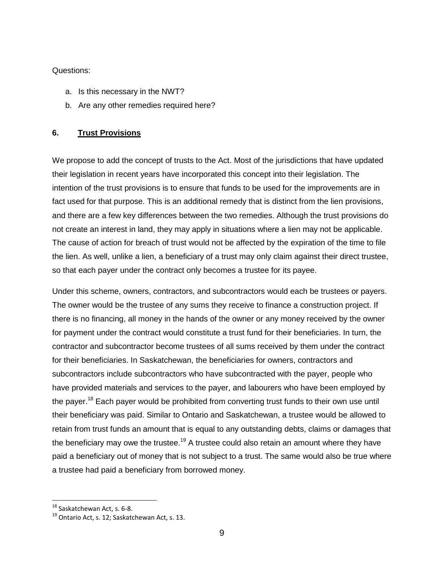### Questions:

- a. Is this necessary in the NWT?
- b. Are any other remedies required here?

### **6. Trust Provisions**

We propose to add the concept of trusts to the Act. Most of the jurisdictions that have updated their legislation in recent years have incorporated this concept into their legislation. The intention of the trust provisions is to ensure that funds to be used for the improvements are in fact used for that purpose. This is an additional remedy that is distinct from the lien provisions, and there are a few key differences between the two remedies. Although the trust provisions do not create an interest in land, they may apply in situations where a lien may not be applicable. The cause of action for breach of trust would not be affected by the expiration of the time to file the lien. As well, unlike a lien, a beneficiary of a trust may only claim against their direct trustee, so that each payer under the contract only becomes a trustee for its payee.

Under this scheme, owners, contractors, and subcontractors would each be trustees or payers. The owner would be the trustee of any sums they receive to finance a construction project. If there is no financing, all money in the hands of the owner or any money received by the owner for payment under the contract would constitute a trust fund for their beneficiaries. In turn, the contractor and subcontractor become trustees of all sums received by them under the contract for their beneficiaries. In Saskatchewan, the beneficiaries for owners, contractors and subcontractors include subcontractors who have subcontracted with the payer, people who have provided materials and services to the payer, and labourers who have been employed by the payer.<sup>18</sup> Each payer would be prohibited from converting trust funds to their own use until their beneficiary was paid. Similar to Ontario and Saskatchewan, a trustee would be allowed to retain from trust funds an amount that is equal to any outstanding debts, claims or damages that the beneficiary may owe the trustee.<sup>19</sup> A trustee could also retain an amount where they have paid a beneficiary out of money that is not subject to a trust. The same would also be true where a trustee had paid a beneficiary from borrowed money.

<sup>&</sup>lt;sup>18</sup> Saskatchewan Act, s. 6-8.

 $19$  Ontario Act, s. 12; Saskatchewan Act, s. 13.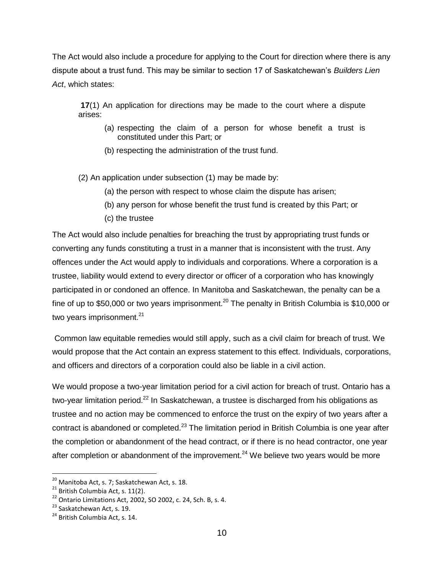The Act would also include a procedure for applying to the Court for direction where there is any dispute about a trust fund. This may be similar to section 17 of Saskatchewan's *Builders Lien Act*, which states:

**17**(1) An application for directions may be made to the court where a dispute arises:

- (a) respecting the claim of a person for whose benefit a trust is constituted under this Part; or
- (b) respecting the administration of the trust fund.

(2) An application under subsection (1) may be made by:

- (a) the person with respect to whose claim the dispute has arisen;
- (b) any person for whose benefit the trust fund is created by this Part; or
- (c) the trustee

The Act would also include penalties for breaching the trust by appropriating trust funds or converting any funds constituting a trust in a manner that is inconsistent with the trust. Any offences under the Act would apply to individuals and corporations. Where a corporation is a trustee, liability would extend to every director or officer of a corporation who has knowingly participated in or condoned an offence. In Manitoba and Saskatchewan, the penalty can be a fine of up to \$50,000 or two years imprisonment.<sup>20</sup> The penalty in British Columbia is \$10,000 or two years imprisonment.<sup>21</sup>

Common law equitable remedies would still apply, such as a civil claim for breach of trust. We would propose that the Act contain an express statement to this effect. Individuals, corporations, and officers and directors of a corporation could also be liable in a civil action.

We would propose a two-year limitation period for a civil action for breach of trust. Ontario has a two-year limitation period.<sup>22</sup> In Saskatchewan, a trustee is discharged from his obligations as trustee and no action may be commenced to enforce the trust on the expiry of two years after a contract is abandoned or completed. $^{23}$  The limitation period in British Columbia is one year after the completion or abandonment of the head contract, or if there is no head contractor, one year after completion or abandonment of the improvement.<sup>24</sup> We believe two vears would be more

 $^{20}$  Manitoba Act, s. 7; Saskatchewan Act, s. 18.

 $21$  British Columbia Act, s. 11(2).

 $22$  Ontario Limitations Act, 2002, SO 2002, c. 24, Sch. B, s. 4.

 $23$  Saskatchewan Act, s. 19.

<sup>&</sup>lt;sup>24</sup> British Columbia Act, s. 14.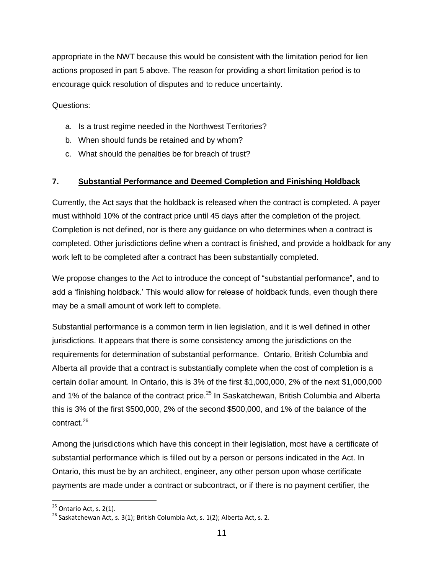appropriate in the NWT because this would be consistent with the limitation period for lien actions proposed in part 5 above. The reason for providing a short limitation period is to encourage quick resolution of disputes and to reduce uncertainty.

Questions:

- a. Is a trust regime needed in the Northwest Territories?
- b. When should funds be retained and by whom?
- c. What should the penalties be for breach of trust?

### **7. Substantial Performance and Deemed Completion and Finishing Holdback**

Currently, the Act says that the holdback is released when the contract is completed. A payer must withhold 10% of the contract price until 45 days after the completion of the project. Completion is not defined, nor is there any guidance on who determines when a contract is completed. Other jurisdictions define when a contract is finished, and provide a holdback for any work left to be completed after a contract has been substantially completed.

We propose changes to the Act to introduce the concept of "substantial performance", and to add a 'finishing holdback.' This would allow for release of holdback funds, even though there may be a small amount of work left to complete.

Substantial performance is a common term in lien legislation, and it is well defined in other jurisdictions. It appears that there is some consistency among the jurisdictions on the requirements for determination of substantial performance. Ontario, British Columbia and Alberta all provide that a contract is substantially complete when the cost of completion is a certain dollar amount. In Ontario, this is 3% of the first \$1,000,000, 2% of the next \$1,000,000 and 1% of the balance of the contract price.<sup>25</sup> In Saskatchewan, British Columbia and Alberta this is 3% of the first \$500,000, 2% of the second \$500,000, and 1% of the balance of the contract.<sup>26</sup>

Among the jurisdictions which have this concept in their legislation, most have a certificate of substantial performance which is filled out by a person or persons indicated in the Act. In Ontario, this must be by an architect, engineer, any other person upon whose certificate payments are made under a contract or subcontract, or if there is no payment certifier, the

 $25$  Ontario Act, s. 2(1).

 $^{26}$  Saskatchewan Act, s. 3(1); British Columbia Act, s. 1(2); Alberta Act, s. 2.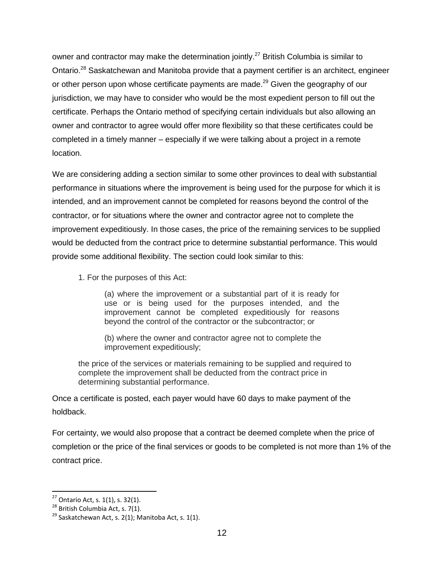owner and contractor may make the determination jointly.<sup>27</sup> British Columbia is similar to Ontario.<sup>28</sup> Saskatchewan and Manitoba provide that a payment certifier is an architect, engineer or other person upon whose certificate payments are made.<sup>29</sup> Given the geography of our jurisdiction, we may have to consider who would be the most expedient person to fill out the certificate. Perhaps the Ontario method of specifying certain individuals but also allowing an owner and contractor to agree would offer more flexibility so that these certificates could be completed in a timely manner – especially if we were talking about a project in a remote location.

We are considering adding a section similar to some other provinces to deal with substantial performance in situations where the improvement is being used for the purpose for which it is intended, and an improvement cannot be completed for reasons beyond the control of the contractor, or for situations where the owner and contractor agree not to complete the improvement expeditiously. In those cases, the price of the remaining services to be supplied would be deducted from the contract price to determine substantial performance. This would provide some additional flexibility. The section could look similar to this:

1. For the purposes of this Act:

(a) where the improvement or a substantial part of it is ready for use or is being used for the purposes intended, and the improvement cannot be completed expeditiously for reasons beyond the control of the contractor or the subcontractor; or

(b) where the owner and contractor agree not to complete the improvement expeditiously;

the price of the services or materials remaining to be supplied and required to complete the improvement shall be deducted from the contract price in determining substantial performance.

Once a certificate is posted, each payer would have 60 days to make payment of the holdback.

For certainty, we would also propose that a contract be deemed complete when the price of completion or the price of the final services or goods to be completed is not more than 1% of the contract price.

 $\overline{\phantom{a}}$ 

 $^{27}$  Ontario Act, s. 1(1), s. 32(1).

 $28$  British Columbia Act, s. 7(1).

<sup>&</sup>lt;sup>29</sup> Saskatchewan Act, s. 2(1); Manitoba Act, s. 1(1).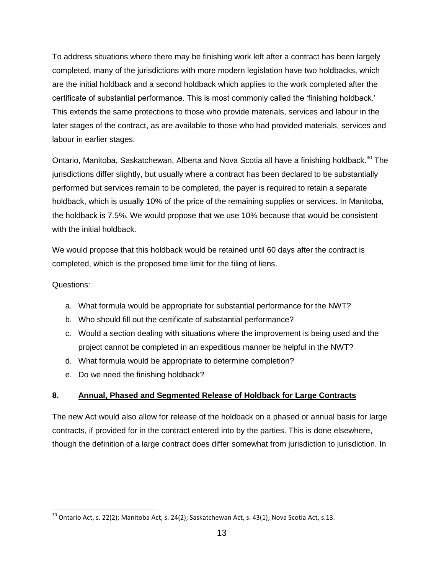To address situations where there may be finishing work left after a contract has been largely completed, many of the jurisdictions with more modern legislation have two holdbacks, which are the initial holdback and a second holdback which applies to the work completed after the certificate of substantial performance. This is most commonly called the 'finishing holdback.' This extends the same protections to those who provide materials, services and labour in the later stages of the contract, as are available to those who had provided materials, services and labour in earlier stages.

Ontario, Manitoba, Saskatchewan, Alberta and Nova Scotia all have a finishing holdback.<sup>30</sup> The jurisdictions differ slightly, but usually where a contract has been declared to be substantially performed but services remain to be completed, the payer is required to retain a separate holdback, which is usually 10% of the price of the remaining supplies or services. In Manitoba, the holdback is 7.5%. We would propose that we use 10% because that would be consistent with the initial holdback.

We would propose that this holdback would be retained until 60 days after the contract is completed, which is the proposed time limit for the filing of liens.

### Questions:

 $\overline{\phantom{a}}$ 

- a. What formula would be appropriate for substantial performance for the NWT?
- b. Who should fill out the certificate of substantial performance?
- c. Would a section dealing with situations where the improvement is being used and the project cannot be completed in an expeditious manner be helpful in the NWT?
- d. What formula would be appropriate to determine completion?
- e. Do we need the finishing holdback?

### **8. Annual, Phased and Segmented Release of Holdback for Large Contracts**

The new Act would also allow for release of the holdback on a phased or annual basis for large contracts, if provided for in the contract entered into by the parties. This is done elsewhere, though the definition of a large contract does differ somewhat from jurisdiction to jurisdiction. In

 $^{30}$  Ontario Act, s. 22(2); Manitoba Act, s. 24(2); Saskatchewan Act, s. 43(1); Nova Scotia Act, s.13.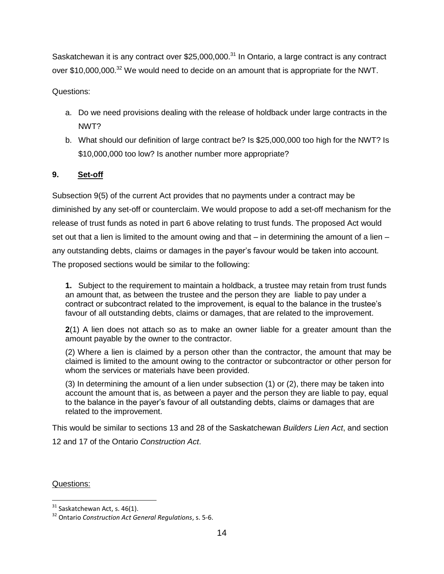Saskatchewan it is any contract over \$25,000,000.<sup>31</sup> In Ontario, a large contract is any contract over \$10,000,000.<sup>32</sup> We would need to decide on an amount that is appropriate for the NWT.

Questions:

- a. Do we need provisions dealing with the release of holdback under large contracts in the NWT?
- b. What should our definition of large contract be? Is \$25,000,000 too high for the NWT? Is \$10,000,000 too low? Is another number more appropriate?

# **9. Set-off**

Subsection 9(5) of the current Act provides that no payments under a contract may be diminished by any set-off or counterclaim. We would propose to add a set-off mechanism for the release of trust funds as noted in part 6 above relating to trust funds. The proposed Act would set out that a lien is limited to the amount owing and that  $-$  in determining the amount of a lien  $$ any outstanding debts, claims or damages in the payer's favour would be taken into account. The proposed sections would be similar to the following:

**1.** Subject to the requirement to maintain a holdback, a trustee may retain from trust funds an amount that, as between the trustee and the person they are liable to pay under a contract or subcontract related to the improvement, is equal to the balance in the trustee's favour of all outstanding debts, claims or damages, that are related to the improvement.

**2**(1) A lien does not attach so as to make an owner liable for a greater amount than the amount payable by the owner to the contractor.

(2) Where a lien is claimed by a person other than the contractor, the amount that may be claimed is limited to the amount owing to the contractor or subcontractor or other person for whom the services or materials have been provided.

(3) In determining the amount of a lien under subsection (1) or (2), there may be taken into account the amount that is, as between a payer and the person they are liable to pay, equal to the balance in the payer's favour of all outstanding debts, claims or damages that are related to the improvement.

This would be similar to sections 13 and 28 of the Saskatchewan *Builders Lien Act*, and section

12 and 17 of the Ontario *Construction Act*.

Questions:

 $31$  Saskatchewan Act, s. 46(1).

<sup>32</sup> Ontario *Construction Act General Regulations*, s. 5-6.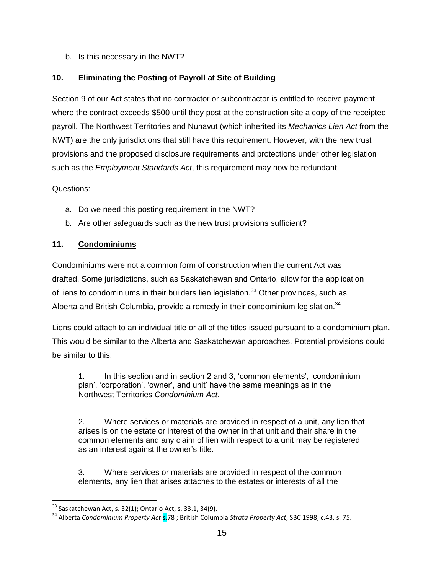b. Is this necessary in the NWT?

# **10. Eliminating the Posting of Payroll at Site of Building**

Section 9 of our Act states that no contractor or subcontractor is entitled to receive payment where the contract exceeds \$500 until they post at the construction site a copy of the receipted payroll. The Northwest Territories and Nunavut (which inherited its *Mechanics Lien Act* from the NWT) are the only jurisdictions that still have this requirement. However, with the new trust provisions and the proposed disclosure requirements and protections under other legislation such as the *Employment Standards Act*, this requirement may now be redundant.

Questions:

l

- a. Do we need this posting requirement in the NWT?
- b. Are other safeguards such as the new trust provisions sufficient?

# **11. Condominiums**

Condominiums were not a common form of construction when the current Act was drafted. Some jurisdictions, such as Saskatchewan and Ontario, allow for the application of liens to condominiums in their builders lien legislation.<sup>33</sup> Other provinces, such as Alberta and British Columbia, provide a remedy in their condominium legislation.<sup>34</sup>

Liens could attach to an individual title or all of the titles issued pursuant to a condominium plan. This would be similar to the Alberta and Saskatchewan approaches. Potential provisions could be similar to this:

1. In this section and in section 2 and 3, 'common elements', 'condominium plan', 'corporation', 'owner', and unit' have the same meanings as in the Northwest Territories *Condominium Act*.

2. Where services or materials are provided in respect of a unit, any lien that arises is on the estate or interest of the owner in that unit and their share in the common elements and any claim of lien with respect to a unit may be registered as an interest against the owner's title.

3. Where services or materials are provided in respect of the common elements, any lien that arises attaches to the estates or interests of all the

 $33$  Saskatchewan Act, s. 32(1); Ontario Act, s. 33.1, 34(9).

<sup>&</sup>lt;sup>34</sup> Alberta *Condominium Property Act* s.78 ; British Columbia *Strata Property Act*, SBC 1998, c.43, s. 75.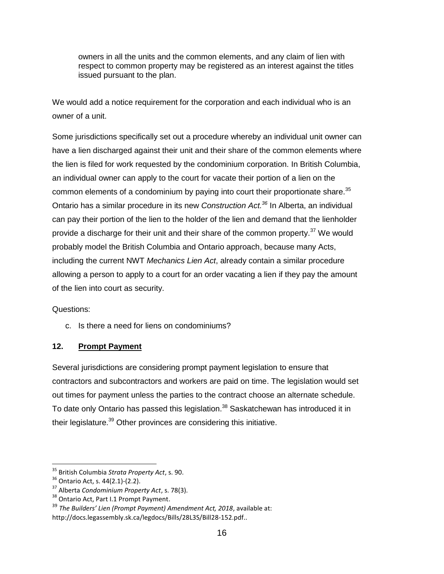owners in all the units and the common elements, and any claim of lien with respect to common property may be registered as an interest against the titles issued pursuant to the plan.

We would add a notice requirement for the corporation and each individual who is an owner of a unit.

Some jurisdictions specifically set out a procedure whereby an individual unit owner can have a lien discharged against their unit and their share of the common elements where the lien is filed for work requested by the condominium corporation. In British Columbia, an individual owner can apply to the court for vacate their portion of a lien on the common elements of a condominium by paying into court their proportionate share.<sup>35</sup> Ontario has a similar procedure in its new *Construction Act.<sup>36</sup>* In Alberta, an individual can pay their portion of the lien to the holder of the lien and demand that the lienholder provide a discharge for their unit and their share of the common property.<sup>37</sup> We would probably model the British Columbia and Ontario approach, because many Acts, including the current NWT *Mechanics Lien Act*, already contain a similar procedure allowing a person to apply to a court for an order vacating a lien if they pay the amount of the lien into court as security.

Questions:

c. Is there a need for liens on condominiums?

# **12. Prompt Payment**

Several jurisdictions are considering prompt payment legislation to ensure that contractors and subcontractors and workers are paid on time. The legislation would set out times for payment unless the parties to the contract choose an alternate schedule. To date only Ontario has passed this legislation.<sup>38</sup> Saskatchewan has introduced it in their legislature.<sup>39</sup> Other provinces are considering this initiative.

 $\overline{\phantom{a}}$ 

<sup>35</sup> British Columbia *Strata Property Act*, s. 90.

<sup>36</sup> Ontario Act, s. 44(2.1)-(2.2).

<sup>37</sup> Alberta *Condominium Property Act*, s. 78(3).

<sup>&</sup>lt;sup>38</sup> Ontario Act, Part I.1 Prompt Payment.

<sup>39</sup> *The Builders' Lien (Prompt Payment) Amendment Act, 2018*, available at: http://docs.legassembly.sk.ca/legdocs/Bills/28L3S/Bill28-152.pdf..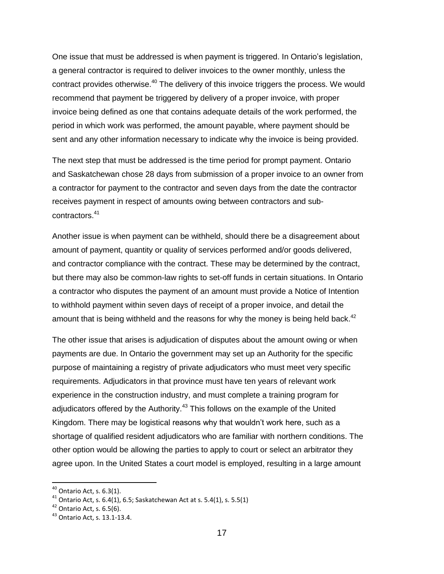One issue that must be addressed is when payment is triggered. In Ontario's legislation, a general contractor is required to deliver invoices to the owner monthly, unless the contract provides otherwise.<sup>40</sup> The delivery of this invoice triggers the process. We would recommend that payment be triggered by delivery of a proper invoice, with proper invoice being defined as one that contains adequate details of the work performed, the period in which work was performed, the amount payable, where payment should be sent and any other information necessary to indicate why the invoice is being provided.

The next step that must be addressed is the time period for prompt payment. Ontario and Saskatchewan chose 28 days from submission of a proper invoice to an owner from a contractor for payment to the contractor and seven days from the date the contractor receives payment in respect of amounts owing between contractors and subcontractors. 41

Another issue is when payment can be withheld, should there be a disagreement about amount of payment, quantity or quality of services performed and/or goods delivered, and contractor compliance with the contract. These may be determined by the contract, but there may also be common-law rights to set-off funds in certain situations. In Ontario a contractor who disputes the payment of an amount must provide a Notice of Intention to withhold payment within seven days of receipt of a proper invoice, and detail the amount that is being withheld and the reasons for why the money is being held back.<sup>42</sup>

The other issue that arises is adjudication of disputes about the amount owing or when payments are due. In Ontario the government may set up an Authority for the specific purpose of maintaining a registry of private adjudicators who must meet very specific requirements. Adjudicators in that province must have ten years of relevant work experience in the construction industry, and must complete a training program for adjudicators offered by the Authority.<sup>43</sup> This follows on the example of the United Kingdom. There may be logistical reasons why that wouldn't work here, such as a shortage of qualified resident adjudicators who are familiar with northern conditions. The other option would be allowing the parties to apply to court or select an arbitrator they agree upon. In the United States a court model is employed, resulting in a large amount

 $\overline{a}$ 

 $^{40}$  Ontario Act, s. 6.3(1).

<sup>&</sup>lt;sup>41</sup> Ontario Act, s. 6.4(1), 6.5; Saskatchewan Act at s. 5.4(1), s. 5.5(1)

 $42$  Ontario Act, s. 6.5(6).

<sup>43</sup> Ontario Act, s. 13.1-13.4.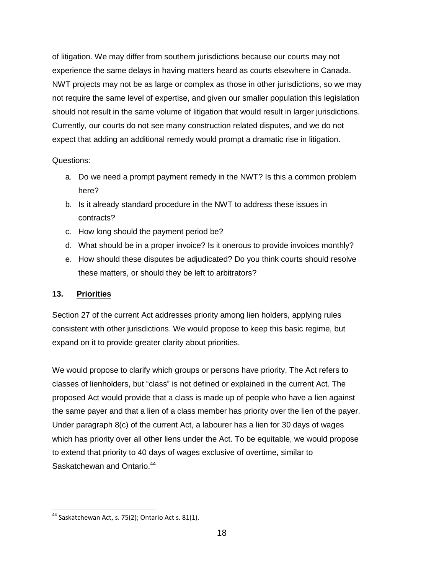of litigation. We may differ from southern jurisdictions because our courts may not experience the same delays in having matters heard as courts elsewhere in Canada. NWT projects may not be as large or complex as those in other jurisdictions, so we may not require the same level of expertise, and given our smaller population this legislation should not result in the same volume of litigation that would result in larger jurisdictions. Currently, our courts do not see many construction related disputes, and we do not expect that adding an additional remedy would prompt a dramatic rise in litigation.

### Questions:

- a. Do we need a prompt payment remedy in the NWT? Is this a common problem here?
- b. Is it already standard procedure in the NWT to address these issues in contracts?
- c. How long should the payment period be?
- d. What should be in a proper invoice? Is it onerous to provide invoices monthly?
- e. How should these disputes be adjudicated? Do you think courts should resolve these matters, or should they be left to arbitrators?

# **13. Priorities**

 $\overline{\phantom{a}}$ 

Section 27 of the current Act addresses priority among lien holders, applying rules consistent with other jurisdictions. We would propose to keep this basic regime, but expand on it to provide greater clarity about priorities.

We would propose to clarify which groups or persons have priority. The Act refers to classes of lienholders, but "class" is not defined or explained in the current Act. The proposed Act would provide that a class is made up of people who have a lien against the same payer and that a lien of a class member has priority over the lien of the payer. Under paragraph 8(c) of the current Act, a labourer has a lien for 30 days of wages which has priority over all other liens under the Act. To be equitable, we would propose to extend that priority to 40 days of wages exclusive of overtime, similar to Saskatchewan and Ontario.<sup>44</sup>

<sup>&</sup>lt;sup>44</sup> Saskatchewan Act, s. 75(2); Ontario Act s. 81(1).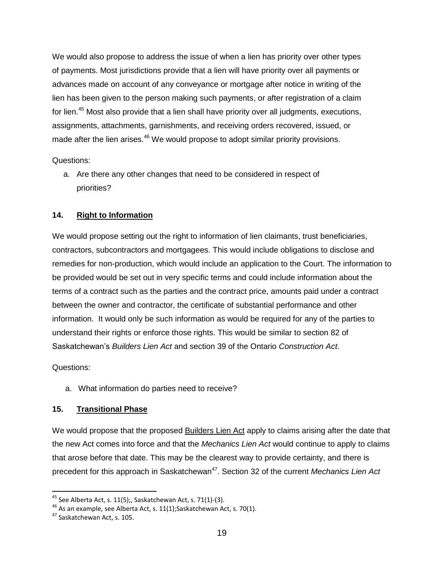We would also propose to address the issue of when a lien has priority over other types of payments. Most jurisdictions provide that a lien will have priority over all payments or advances made on account of any conveyance or mortgage after notice in writing of the lien has been given to the person making such payments, or after registration of a claim for lien.<sup>45</sup> Most also provide that a lien shall have priority over all judgments, executions, assignments, attachments, garnishments, and receiving orders recovered, issued, or made after the lien arises.<sup>46</sup> We would propose to adopt similar priority provisions.

Questions:

 a. Are there any other changes that need to be considered in respect of priorities?

# **14. Right to Information**

We would propose setting out the right to information of lien claimants, trust beneficiaries, contractors, subcontractors and mortgagees. This would include obligations to disclose and remedies for non-production, which would include an application to the Court. The information to be provided would be set out in very specific terms and could include information about the terms of a contract such as the parties and the contract price, amounts paid under a contract between the owner and contractor, the certificate of substantial performance and other information. It would only be such information as would be required for any of the parties to understand their rights or enforce those rights. This would be similar to section 82 of Saskatchewan's *Builders Lien Act* and section 39 of the Ontario *Construction Act*.

Questions:

 $\overline{\phantom{a}}$ 

a. What information do parties need to receive?

# **15. Transitional Phase**

We would propose that the proposed Builders Lien Act apply to claims arising after the date that the new Act comes into force and that the *Mechanics Lien Act* would continue to apply to claims that arose before that date. This may be the clearest way to provide certainty, and there is precedent for this approach in Saskatchewan<sup>47</sup>. Section 32 of the current *Mechanics Lien Act* 

<sup>&</sup>lt;sup>45</sup> See Alberta Act, s. 11(5);, Saskatchewan Act, s. 71(1)-(3).

<sup>46</sup> As an example, see Alberta Act, s. 11(1);Saskatchewan Act, s. 70(1).

<sup>47</sup> Saskatchewan Act, s. 105.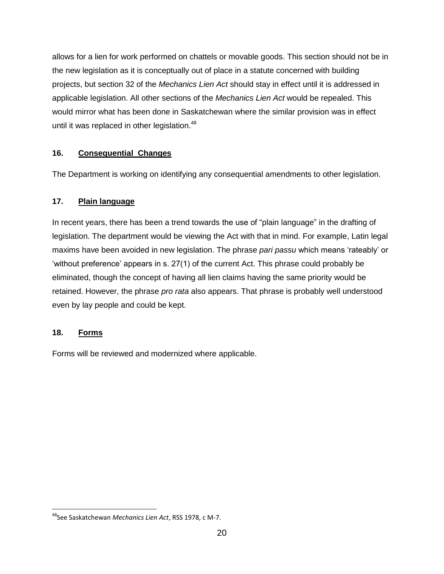allows for a lien for work performed on chattels or movable goods. This section should not be in the new legislation as it is conceptually out of place in a statute concerned with building projects, but section 32 of the *Mechanics Lien Act* should stay in effect until it is addressed in applicable legislation. All other sections of the *Mechanics Lien Act* would be repealed. This would mirror what has been done in Saskatchewan where the similar provision was in effect until it was replaced in other legislation.<sup>48</sup>

# **16. Consequential Changes**

The Department is working on identifying any consequential amendments to other legislation.

# **17. Plain language**

In recent years, there has been a trend towards the use of "plain language" in the drafting of legislation. The department would be viewing the Act with that in mind. For example, Latin legal maxims have been avoided in new legislation. The phrase *pari passu* which means 'rateably' or 'without preference' appears in s. 27(1) of the current Act. This phrase could probably be eliminated, though the concept of having all lien claims having the same priority would be retained. However, the phrase *pro rata* also appears. That phrase is probably well understood even by lay people and could be kept.

# **18. Forms**

 $\overline{\phantom{a}}$ 

Forms will be reviewed and modernized where applicable.

<sup>48</sup>See Saskatchewan *Mechanics Lien Act*, RSS 1978, c M-7.